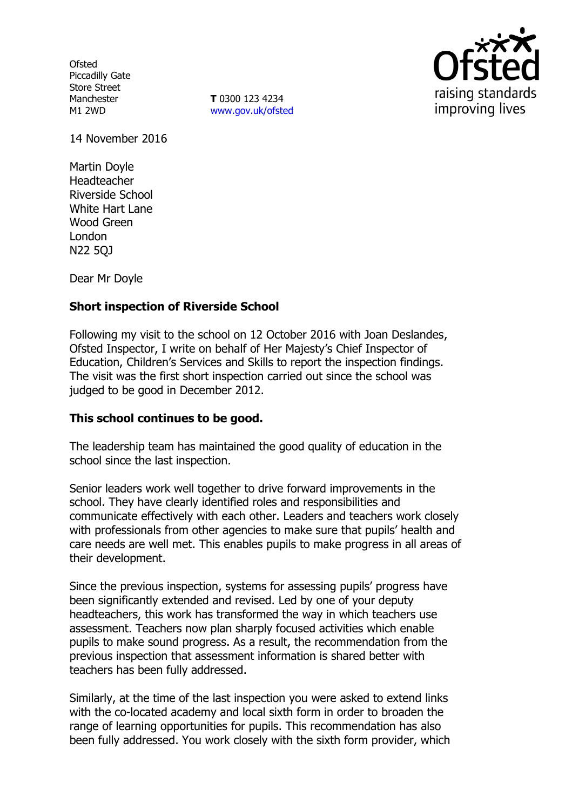**Ofsted** Piccadilly Gate Store Street Manchester M1 2WD

**T** 0300 123 4234 www.gov.uk/ofsted



14 November 2016

Martin Doyle Headteacher Riverside School White Hart Lane Wood Green London N22 5QJ

Dear Mr Doyle

# **Short inspection of Riverside School**

Following my visit to the school on 12 October 2016 with Joan Deslandes, Ofsted Inspector, I write on behalf of Her Majesty's Chief Inspector of Education, Children's Services and Skills to report the inspection findings. The visit was the first short inspection carried out since the school was judged to be good in December 2012.

## **This school continues to be good.**

The leadership team has maintained the good quality of education in the school since the last inspection.

Senior leaders work well together to drive forward improvements in the school. They have clearly identified roles and responsibilities and communicate effectively with each other. Leaders and teachers work closely with professionals from other agencies to make sure that pupils' health and care needs are well met. This enables pupils to make progress in all areas of their development.

Since the previous inspection, systems for assessing pupils' progress have been significantly extended and revised. Led by one of your deputy headteachers, this work has transformed the way in which teachers use assessment. Teachers now plan sharply focused activities which enable pupils to make sound progress. As a result, the recommendation from the previous inspection that assessment information is shared better with teachers has been fully addressed.

Similarly, at the time of the last inspection you were asked to extend links with the co-located academy and local sixth form in order to broaden the range of learning opportunities for pupils. This recommendation has also been fully addressed. You work closely with the sixth form provider, which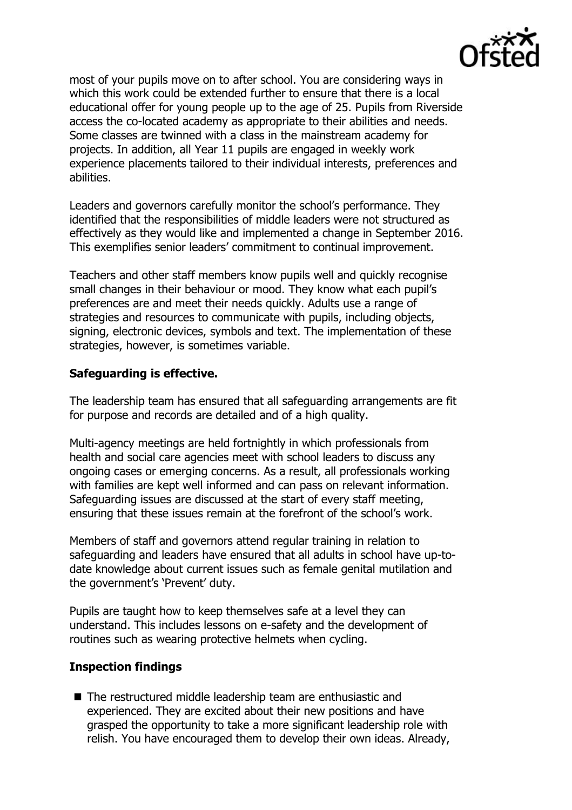

most of your pupils move on to after school. You are considering ways in which this work could be extended further to ensure that there is a local educational offer for young people up to the age of 25. Pupils from Riverside access the co-located academy as appropriate to their abilities and needs. Some classes are twinned with a class in the mainstream academy for projects. In addition, all Year 11 pupils are engaged in weekly work experience placements tailored to their individual interests, preferences and abilities.

Leaders and governors carefully monitor the school's performance. They identified that the responsibilities of middle leaders were not structured as effectively as they would like and implemented a change in September 2016. This exemplifies senior leaders' commitment to continual improvement.

Teachers and other staff members know pupils well and quickly recognise small changes in their behaviour or mood. They know what each pupil's preferences are and meet their needs quickly. Adults use a range of strategies and resources to communicate with pupils, including objects, signing, electronic devices, symbols and text. The implementation of these strategies, however, is sometimes variable.

# **Safeguarding is effective.**

The leadership team has ensured that all safeguarding arrangements are fit for purpose and records are detailed and of a high quality.

Multi-agency meetings are held fortnightly in which professionals from health and social care agencies meet with school leaders to discuss any ongoing cases or emerging concerns. As a result, all professionals working with families are kept well informed and can pass on relevant information. Safeguarding issues are discussed at the start of every staff meeting, ensuring that these issues remain at the forefront of the school's work.

Members of staff and governors attend regular training in relation to safeguarding and leaders have ensured that all adults in school have up-todate knowledge about current issues such as female genital mutilation and the government's 'Prevent' duty.

Pupils are taught how to keep themselves safe at a level they can understand. This includes lessons on e-safety and the development of routines such as wearing protective helmets when cycling.

## **Inspection findings**

■ The restructured middle leadership team are enthusiastic and experienced. They are excited about their new positions and have grasped the opportunity to take a more significant leadership role with relish. You have encouraged them to develop their own ideas. Already,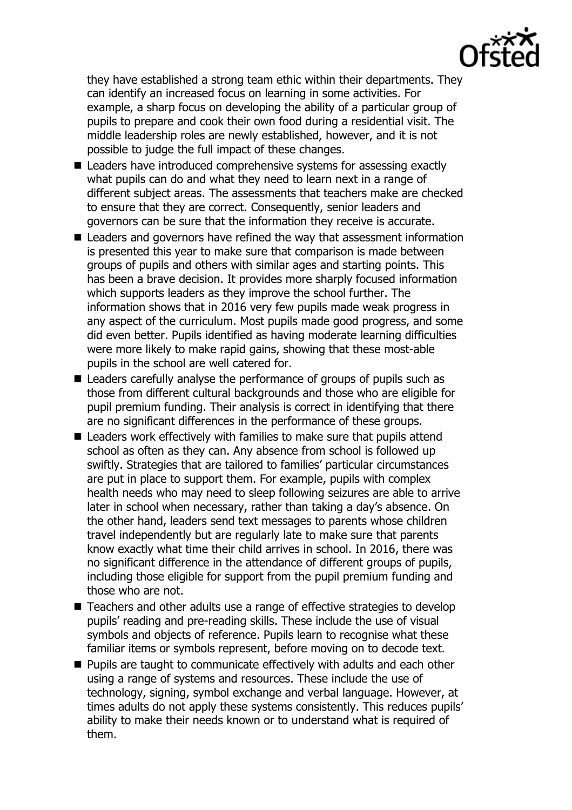

they have established a strong team ethic within their departments. They can identify an increased focus on learning in some activities. For example, a sharp focus on developing the ability of a particular group of pupils to prepare and cook their own food during a residential visit. The middle leadership roles are newly established, however, and it is not possible to judge the full impact of these changes.

- Leaders have introduced comprehensive systems for assessing exactly what pupils can do and what they need to learn next in a range of different subject areas. The assessments that teachers make are checked to ensure that they are correct. Consequently, senior leaders and governors can be sure that the information they receive is accurate.
- Leaders and governors have refined the way that assessment information is presented this year to make sure that comparison is made between groups of pupils and others with similar ages and starting points. This has been a brave decision. It provides more sharply focused information which supports leaders as they improve the school further. The information shows that in 2016 very few pupils made weak progress in any aspect of the curriculum. Most pupils made good progress, and some did even better. Pupils identified as having moderate learning difficulties were more likely to make rapid gains, showing that these most-able pupils in the school are well catered for.
- Leaders carefully analyse the performance of groups of pupils such as those from different cultural backgrounds and those who are eligible for pupil premium funding. Their analysis is correct in identifying that there are no significant differences in the performance of these groups.
- Leaders work effectively with families to make sure that pupils attend school as often as they can. Any absence from school is followed up swiftly. Strategies that are tailored to families' particular circumstances are put in place to support them. For example, pupils with complex health needs who may need to sleep following seizures are able to arrive later in school when necessary, rather than taking a day's absence. On the other hand, leaders send text messages to parents whose children travel independently but are regularly late to make sure that parents know exactly what time their child arrives in school. In 2016, there was no significant difference in the attendance of different groups of pupils, including those eligible for support from the pupil premium funding and those who are not.
- Teachers and other adults use a range of effective strategies to develop pupils' reading and pre-reading skills. These include the use of visual symbols and objects of reference. Pupils learn to recognise what these familiar items or symbols represent, before moving on to decode text.
- **Pupils are taught to communicate effectively with adults and each other** using a range of systems and resources. These include the use of technology, signing, symbol exchange and verbal language. However, at times adults do not apply these systems consistently. This reduces pupils' ability to make their needs known or to understand what is required of them.